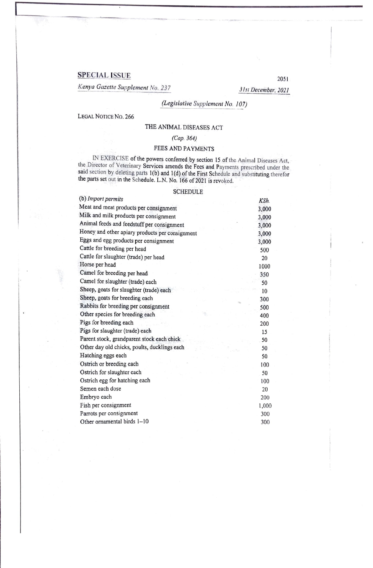# **SPECIAL ISSUE**

*Ken,va Gazette Supplement No. 237* 

*3 ls1 December, 2021* 

2051

# *(Legislative Supplement No. 107)*

LEGAL NOTICE No. 266

## THE ANIMAL DISEASES ACT

### *(Cap. 364)*

### FEES AND PAYMENTS

IN EXERCISE of the powers conferred by section 15 of the Animal Diseases Act, the Director of Veterinary Services amends the Fees and Payments prescribed under the said section by deleting parts  $l(b)$  and  $l(d)$  of the First Schedule and substituting therefor the parts set out in the Schedule. L.N. No. 166 of 2021 is revoked.

#### SCHEDULE

| (b) Import permits                              | KSh.  |
|-------------------------------------------------|-------|
| Meat and meat products per consignment          | 3,000 |
| Milk and milk products per consignment          | 3,000 |
| Animal feeds and feedstuff per consignment      | 3,000 |
| Honey and other apiary products per consignment | 3,000 |
| Eggs and egg products per consignment           | 3,000 |
| Cattle for breeding per head                    | 500   |
| Cattle for slaughter (trade) per head           | 20    |
| Horse per head                                  | 1000  |
| Camel for breeding per head                     | 350   |
| Camel for slaughter (trade) each                | 50    |
| Sheep, goats for slaughter (trade) each         | 10    |
| Sheep, goats for breeding each                  | 300   |
| Rabbits for breeding per consignment            | 500   |
| Other species for breeding each                 | 400   |
| Pigs for breeding each                          | 200   |
| Pigs for slaughter (trade) each                 | 15    |
| Parent stock, grandparent stock each chick      | 50    |
| Other day old chicks, poults, ducklings each    | 50    |
| Hatching eggs each                              | 50    |
| Ostrich or breeding each                        | 100   |
| Ostrich for slaughter each                      | 50    |
| Ostrich egg for hatching each                   | 100   |
| Semen each dose                                 | 20    |
| Embryo each                                     | 200   |
| Fish per consignment                            | 1,000 |
| Parrots per consignment                         | 300   |
| Other ornamental birds 1-10                     | 300   |